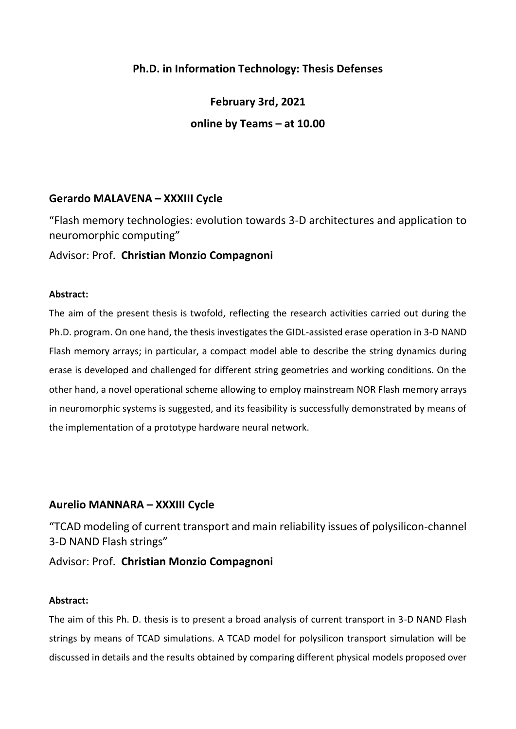# **Ph.D. in Information Technology: Thesis Defenses**

**February 3rd, 2021 online by Teams – at 10.00**

## **Gerardo MALAVENA – XXXIII Cycle**

"Flash memory technologies: evolution towards 3-D architectures and application to neuromorphic computing"

Advisor: Prof. **Christian Monzio Compagnoni**

#### **Abstract:**

The aim of the present thesis is twofold, reflecting the research activities carried out during the Ph.D. program. On one hand, the thesis investigates the GIDL-assisted erase operation in 3-D NAND Flash memory arrays; in particular, a compact model able to describe the string dynamics during erase is developed and challenged for different string geometries and working conditions. On the other hand, a novel operational scheme allowing to employ mainstream NOR Flash memory arrays in neuromorphic systems is suggested, and its feasibility is successfully demonstrated by means of the implementation of a prototype hardware neural network.

## **Aurelio MANNARA – XXXIII Cycle**

"TCAD modeling of current transport and main reliability issues of polysilicon-channel 3-D NAND Flash strings"

## Advisor: Prof. **Christian Monzio Compagnoni**

#### **Abstract:**

The aim of this Ph. D. thesis is to present a broad analysis of current transport in 3-D NAND Flash strings by means of TCAD simulations. A TCAD model for polysilicon transport simulation will be discussed in details and the results obtained by comparing different physical models proposed over